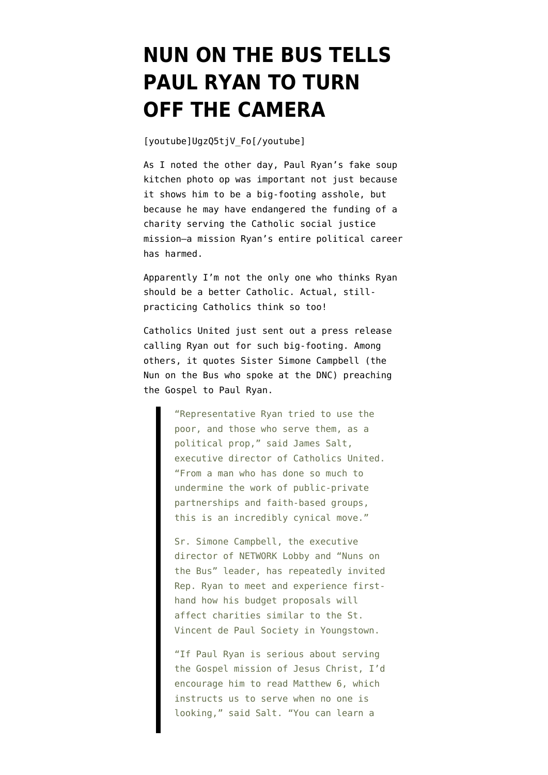## **[NUN ON THE BUS TELLS](https://www.emptywheel.net/2012/10/17/nun-on-the-bus-tells-paul-ryan-to-turn-off-the-camera/) [PAUL RYAN TO TURN](https://www.emptywheel.net/2012/10/17/nun-on-the-bus-tells-paul-ryan-to-turn-off-the-camera/) [OFF THE CAMERA](https://www.emptywheel.net/2012/10/17/nun-on-the-bus-tells-paul-ryan-to-turn-off-the-camera/)**

[youtube]UgzQ5tjV\_Fo[/youtube]

As I [noted the other day,](http://www.emptywheel.net/2012/10/15/will-paul-ryans-photo-op-hurt-a-catholic-charitys-efforts-to-feed-the-poor/) Paul Ryan's [fake soup](http://www.bagnewsnotes.com/2012/10/did-ryan-campaign-fake-photo-op-at-ohio-soup-kitchen-and-did-media-enable-it/) [kitchen photo op](http://www.bagnewsnotes.com/2012/10/did-ryan-campaign-fake-photo-op-at-ohio-soup-kitchen-and-did-media-enable-it/) was important not just because it shows him to be a big-footing asshole, but because he may have endangered the funding of a charity serving the Catholic social justice mission–a mission Ryan's entire political career has harmed.

Apparently I'm not the only one who thinks Ryan should be a better Catholic. Actual, stillpracticing Catholics think so too!

Catholics United just sent out a press release calling Ryan out for such big-footing. Among others, it quotes Sister Simone Campbell (the Nun on the Bus who spoke at the DNC) preaching the Gospel to Paul Ryan.

> "Representative Ryan tried to use the poor, and those who serve them, as a political prop," said James Salt, executive director of Catholics United. "From a man who has done so much to undermine the work of public-private partnerships and faith-based groups, this is an incredibly cynical move."

> Sr. Simone Campbell, the executive director of NETWORK Lobby and "Nuns on the Bus" leader, has repeatedly invited Rep. Ryan to meet and experience firsthand how his budget proposals will affect charities similar to the St. Vincent de Paul Society in Youngstown.

> "If Paul Ryan is serious about serving the Gospel mission of Jesus Christ, I'd encourage him to read Matthew 6, which instructs us to serve when no one is looking," said Salt. "You can learn a